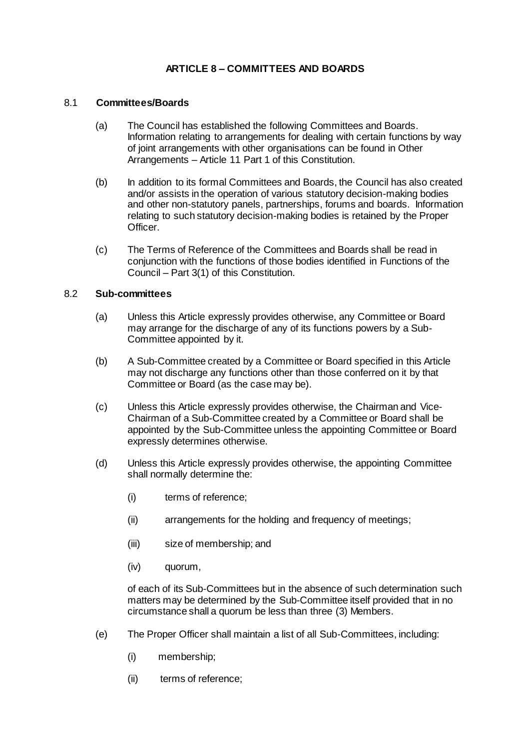## **ARTICLE 8 – COMMITTEES AND BOARDS**

### 8.1 **Committees/Boards**

- (a) The Council has established the following Committees and Boards. Information relating to arrangements for dealing with certain functions by way of joint arrangements with other organisations can be found in Other Arrangements – Article 11 Part 1 of this Constitution.
- (b) In addition to its formal Committees and Boards, the Council has also created and/or assists in the operation of various statutory decision-making bodies and other non-statutory panels, partnerships, forums and boards. Information relating to such statutory decision-making bodies is retained by the Proper Officer.
- (c) The Terms of Reference of the Committees and Boards shall be read in conjunction with the functions of those bodies identified in Functions of the Council – Part 3(1) of this Constitution.

#### 8.2 **Sub-committees**

- (a) Unless this Article expressly provides otherwise, any Committee or Board may arrange for the discharge of any of its functions powers by a Sub-Committee appointed by it.
- (b) A Sub-Committee created by a Committee or Board specified in this Article may not discharge any functions other than those conferred on it by that Committee or Board (as the case may be).
- (c) Unless this Article expressly provides otherwise, the Chairman and Vice-Chairman of a Sub-Committee created by a Committee or Board shall be appointed by the Sub-Committee unless the appointing Committee or Board expressly determines otherwise.
- (d) Unless this Article expressly provides otherwise, the appointing Committee shall normally determine the:
	- (i) terms of reference;
	- (ii) arrangements for the holding and frequency of meetings;
	- (iii) size of membership; and
	- (iv) quorum,

of each of its Sub-Committees but in the absence of such determination such matters may be determined by the Sub-Committee itself provided that in no circumstance shall a quorum be less than three (3) Members.

- (e) The Proper Officer shall maintain a list of all Sub-Committees, including:
	- (i) membership;
	- (ii) terms of reference;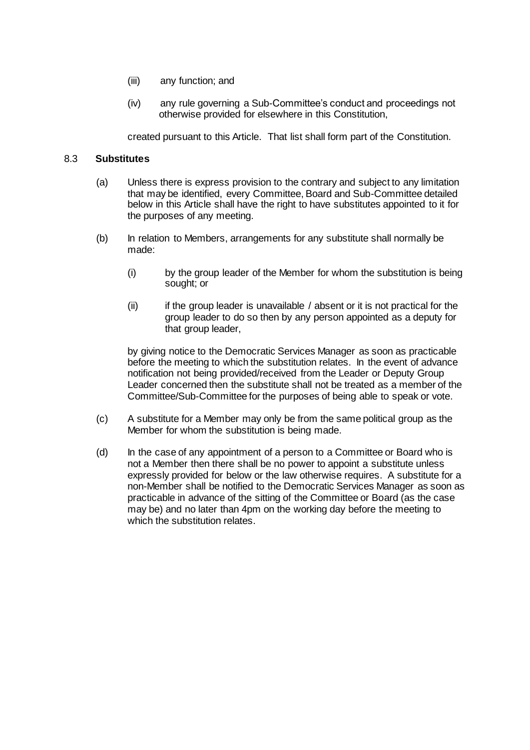- (iii) any function; and
- (iv) any rule governing a Sub-Committee's conduct and proceedings not otherwise provided for elsewhere in this Constitution,

created pursuant to this Article. That list shall form part of the Constitution.

#### 8.3 **Substitutes**

- (a) Unless there is express provision to the contrary and subject to any limitation that may be identified, every Committee, Board and Sub-Committee detailed below in this Article shall have the right to have substitutes appointed to it for the purposes of any meeting.
- (b) In relation to Members, arrangements for any substitute shall normally be made:
	- (i) by the group leader of the Member for whom the substitution is being sought; or
	- (ii) if the group leader is unavailable / absent or it is not practical for the group leader to do so then by any person appointed as a deputy for that group leader,

by giving notice to the Democratic Services Manager as soon as practicable before the meeting to which the substitution relates. In the event of advance notification not being provided/received from the Leader or Deputy Group Leader concerned then the substitute shall not be treated as a member of the Committee/Sub-Committee for the purposes of being able to speak or vote.

- (c) A substitute for a Member may only be from the same political group as the Member for whom the substitution is being made.
- (d) In the case of any appointment of a person to a Committee or Board who is not a Member then there shall be no power to appoint a substitute unless expressly provided for below or the law otherwise requires. A substitute for a non-Member shall be notified to the Democratic Services Manager as soon as practicable in advance of the sitting of the Committee or Board (as the case may be) and no later than 4pm on the working day before the meeting to which the substitution relates.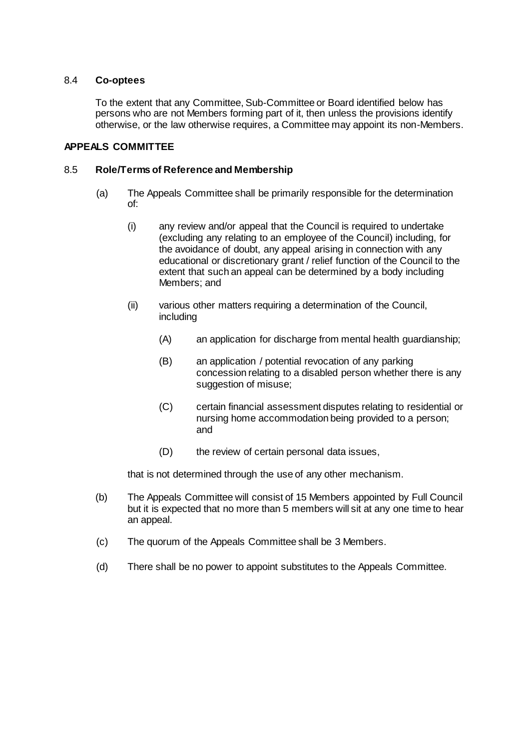## 8.4 **Co-optees**

To the extent that any Committee, Sub-Committee or Board identified below has persons who are not Members forming part of it, then unless the provisions identify otherwise, or the law otherwise requires, a Committee may appoint its non-Members.

## **APPEALS COMMITTEE**

#### 8.5 **Role/Terms of Reference and Membership**

- (a) The Appeals Committee shall be primarily responsible for the determination of:
	- (i) any review and/or appeal that the Council is required to undertake (excluding any relating to an employee of the Council) including, for the avoidance of doubt, any appeal arising in connection with any educational or discretionary grant / relief function of the Council to the extent that such an appeal can be determined by a body including Members; and
	- (ii) various other matters requiring a determination of the Council, including
		- (A) an application for discharge from mental health guardianship;
		- (B) an application / potential revocation of any parking concession relating to a disabled person whether there is any suggestion of misuse;
		- (C) certain financial assessment disputes relating to residential or nursing home accommodation being provided to a person; and
		- (D) the review of certain personal data issues,

that is not determined through the use of any other mechanism.

- (b) The Appeals Committee will consist of 15 Members appointed by Full Council but it is expected that no more than 5 members will sit at any one time to hear an appeal.
- (c) The quorum of the Appeals Committee shall be 3 Members.
- (d) There shall be no power to appoint substitutes to the Appeals Committee.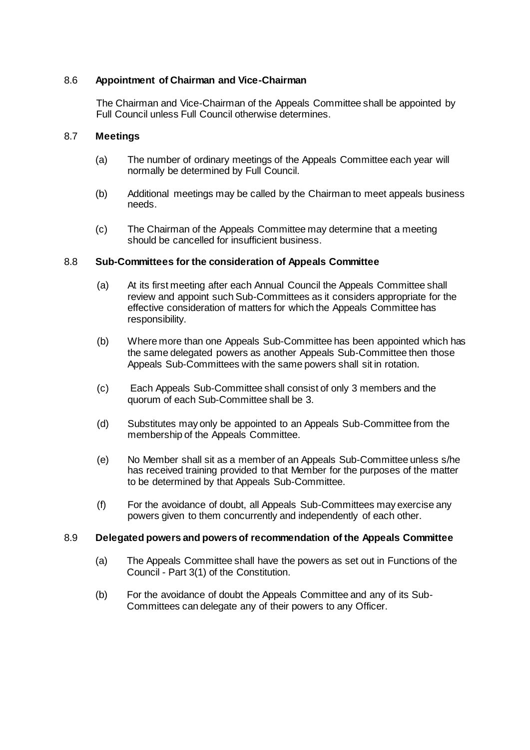## 8.6 **Appointment of Chairman and Vice-Chairman**

The Chairman and Vice-Chairman of the Appeals Committee shall be appointed by Full Council unless Full Council otherwise determines.

## 8.7 **Meetings**

- (a) The number of ordinary meetings of the Appeals Committee each year will normally be determined by Full Council.
- (b) Additional meetings may be called by the Chairman to meet appeals business needs.
- (c) The Chairman of the Appeals Committee may determine that a meeting should be cancelled for insufficient business.

## 8.8 **Sub-Committees for the consideration of Appeals Committee**

- (a) At its first meeting after each Annual Council the Appeals Committee shall review and appoint such Sub-Committees as it considers appropriate for the effective consideration of matters for which the Appeals Committee has responsibility.
- (b) Where more than one Appeals Sub-Committee has been appointed which has the same delegated powers as another Appeals Sub-Committee then those Appeals Sub-Committees with the same powers shall sit in rotation.
- (c) Each Appeals Sub-Committee shall consist of only 3 members and the quorum of each Sub-Committee shall be 3.
- (d) Substitutes may only be appointed to an Appeals Sub-Committee from the membership of the Appeals Committee.
- (e) No Member shall sit as a member of an Appeals Sub-Committee unless s/he has received training provided to that Member for the purposes of the matter to be determined by that Appeals Sub-Committee.
- (f) For the avoidance of doubt, all Appeals Sub-Committees may exercise any powers given to them concurrently and independently of each other.

## 8.9 **Delegated powers and powers of recommendation of the Appeals Committee**

- (a) The Appeals Committee shall have the powers as set out in Functions of the Council - Part 3(1) of the Constitution.
- (b) For the avoidance of doubt the Appeals Committee and any of its Sub-Committees can delegate any of their powers to any Officer.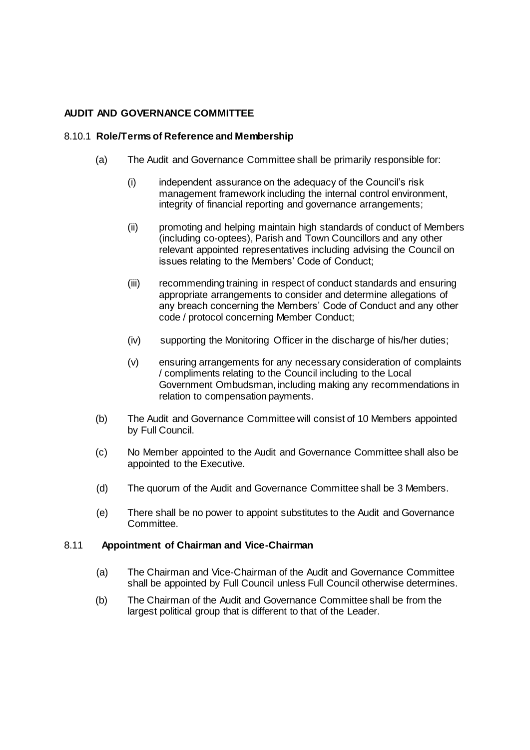## **AUDIT AND GOVERNANCE COMMITTEE**

## 8.10.1 **Role/Terms of Reference and Membership**

- (a) The Audit and Governance Committee shall be primarily responsible for:
	- (i) independent assurance on the adequacy of the Council's risk management framework including the internal control environment, integrity of financial reporting and governance arrangements;
	- (ii) promoting and helping maintain high standards of conduct of Members (including co-optees), Parish and Town Councillors and any other relevant appointed representatives including advising the Council on issues relating to the Members' Code of Conduct;
	- (iii) recommending training in respect of conduct standards and ensuring appropriate arrangements to consider and determine allegations of any breach concerning the Members' Code of Conduct and any other code / protocol concerning Member Conduct;
	- (iv) supporting the Monitoring Officer in the discharge of his/her duties;
	- (v) ensuring arrangements for any necessary consideration of complaints / compliments relating to the Council including to the Local Government Ombudsman, including making any recommendations in relation to compensation payments.
- (b) The Audit and Governance Committee will consist of 10 Members appointed by Full Council.
- (c) No Member appointed to the Audit and Governance Committee shall also be appointed to the Executive.
- (d) The quorum of the Audit and Governance Committee shall be 3 Members.
- (e) There shall be no power to appoint substitutes to the Audit and Governance Committee.

## 8.11 **Appointment of Chairman and Vice-Chairman**

- (a) The Chairman and Vice-Chairman of the Audit and Governance Committee shall be appointed by Full Council unless Full Council otherwise determines.
- (b) The Chairman of the Audit and Governance Committee shall be from the largest political group that is different to that of the Leader.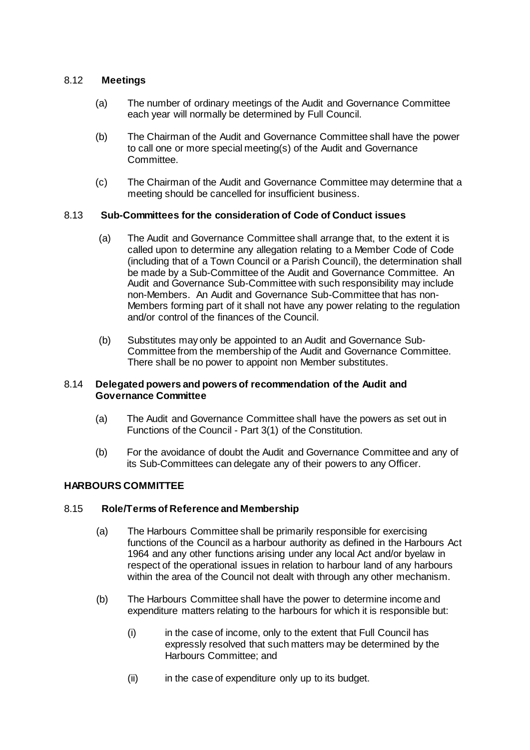## 8.12 **Meetings**

- (a) The number of ordinary meetings of the Audit and Governance Committee each year will normally be determined by Full Council.
- (b) The Chairman of the Audit and Governance Committee shall have the power to call one or more special meeting(s) of the Audit and Governance Committee.
- (c) The Chairman of the Audit and Governance Committee may determine that a meeting should be cancelled for insufficient business.

## 8.13 **Sub-Committees for the consideration of Code of Conduct issues**

- (a) The Audit and Governance Committee shall arrange that, to the extent it is called upon to determine any allegation relating to a Member Code of Code (including that of a Town Council or a Parish Council), the determination shall be made by a Sub-Committee of the Audit and Governance Committee. An Audit and Governance Sub-Committee with such responsibility may include non-Members. An Audit and Governance Sub-Committee that has non-Members forming part of it shall not have any power relating to the regulation and/or control of the finances of the Council.
- (b) Substitutes may only be appointed to an Audit and Governance Sub-Committee from the membership of the Audit and Governance Committee. There shall be no power to appoint non Member substitutes.

## 8.14 **Delegated powers and powers of recommendation of the Audit and Governance Committee**

- (a) The Audit and Governance Committee shall have the powers as set out in Functions of the Council - Part 3(1) of the Constitution.
- (b) For the avoidance of doubt the Audit and Governance Committee and any of its Sub-Committees can delegate any of their powers to any Officer.

## **HARBOURS COMMITTEE**

## 8.15 **Role/Terms of Reference and Membership**

- (a) The Harbours Committee shall be primarily responsible for exercising functions of the Council as a harbour authority as defined in the Harbours Act 1964 and any other functions arising under any local Act and/or byelaw in respect of the operational issues in relation to harbour land of any harbours within the area of the Council not dealt with through any other mechanism.
- (b) The Harbours Committee shall have the power to determine income and expenditure matters relating to the harbours for which it is responsible but:
	- (i) in the case of income, only to the extent that Full Council has expressly resolved that such matters may be determined by the Harbours Committee; and
	- (ii) in the case of expenditure only up to its budget.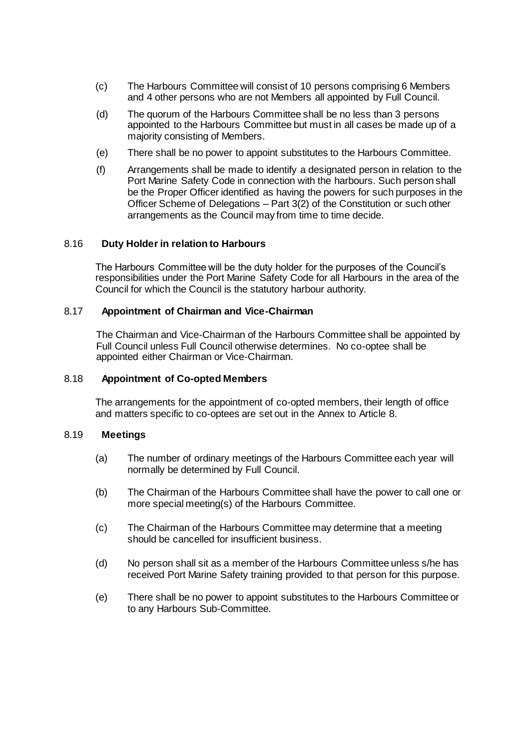- (c) The Harbours Committee will consist of 10 persons comprising 6 Members and 4 other persons who are not Members all appointed by Full Council.
- (d) The quorum of the Harbours Committee shall be no less than 3 persons appointed to the Harbours Committee but must in all cases be made up of a majority consisting of Members.
- (e) There shall be no power to appoint substitutes to the Harbours Committee.
- (f) Arrangements shall be made to identify a designated person in relation to the Port Marine Safety Code in connection with the harbours. Such person shall be the Proper Officer identified as having the powers for such purposes in the Officer Scheme of Delegations – Part 3(2) of the Constitution or such other arrangements as the Council may from time to time decide.

#### 8.16 **Duty Holder in relation to Harbours**

The Harbours Committee will be the duty holder for the purposes of the Council's responsibilities under the Port Marine Safety Code for all Harbours in the area of the Council for which the Council is the statutory harbour authority.

#### 8.17 **Appointment of Chairman and Vice-Chairman**

The Chairman and Vice-Chairman of the Harbours Committee shall be appointed by Full Council unless Full Council otherwise determines. No co-optee shall be appointed either Chairman or Vice-Chairman.

### 8.18 **Appointment of Co-opted Members**

The arrangements for the appointment of co-opted members, their length of office and matters specific to co-optees are set out in the Annex to Article 8.

#### 8.19 **Meetings**

- (a) The number of ordinary meetings of the Harbours Committee each year will normally be determined by Full Council.
- (b) The Chairman of the Harbours Committee shall have the power to call one or more special meeting(s) of the Harbours Committee.
- (c) The Chairman of the Harbours Committee may determine that a meeting should be cancelled for insufficient business.
- (d) No person shall sit as a member of the Harbours Committee unless s/he has received Port Marine Safety training provided to that person for this purpose.
- (e) There shall be no power to appoint substitutes to the Harbours Committee or to any Harbours Sub-Committee.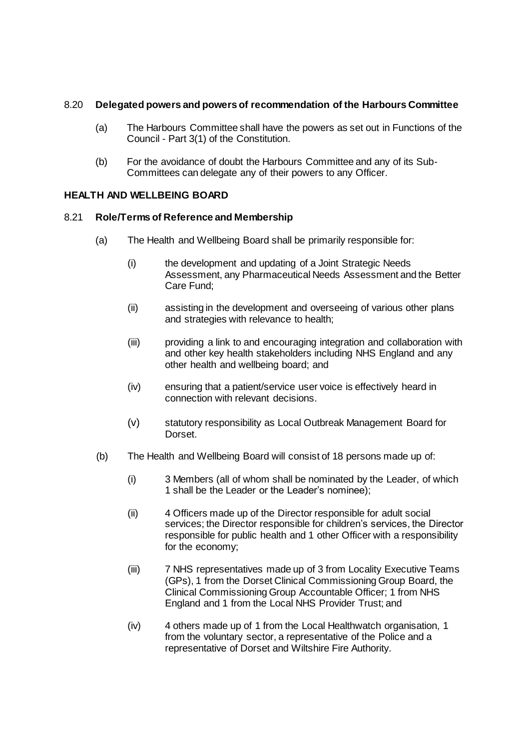## 8.20 **Delegated powers and powers of recommendation of the Harbours Committee**

- (a) The Harbours Committee shall have the powers as set out in Functions of the Council - Part 3(1) of the Constitution.
- (b) For the avoidance of doubt the Harbours Committee and any of its Sub-Committees can delegate any of their powers to any Officer.

## **HEALTH AND WELLBEING BOARD**

## 8.21 **Role/Terms of Reference and Membership**

- (a) The Health and Wellbeing Board shall be primarily responsible for:
	- (i) the development and updating of a Joint Strategic Needs Assessment, any Pharmaceutical Needs Assessment and the Better Care Fund;
	- (ii) assisting in the development and overseeing of various other plans and strategies with relevance to health;
	- (iii) providing a link to and encouraging integration and collaboration with and other key health stakeholders including NHS England and any other health and wellbeing board; and
	- (iv) ensuring that a patient/service user voice is effectively heard in connection with relevant decisions.
	- (v) statutory responsibility as Local Outbreak Management Board for Dorset.
- (b) The Health and Wellbeing Board will consist of 18 persons made up of:
	- (i) 3 Members (all of whom shall be nominated by the Leader, of which 1 shall be the Leader or the Leader's nominee);
	- (ii) 4 Officers made up of the Director responsible for adult social services; the Director responsible for children's services, the Director responsible for public health and 1 other Officer with a responsibility for the economy;
	- (iii) 7 NHS representatives made up of 3 from Locality Executive Teams (GPs), 1 from the Dorset Clinical Commissioning Group Board, the Clinical Commissioning Group Accountable Officer; 1 from NHS England and 1 from the Local NHS Provider Trust; and
	- (iv) 4 others made up of 1 from the Local Healthwatch organisation, 1 from the voluntary sector, a representative of the Police and a representative of Dorset and Wiltshire Fire Authority.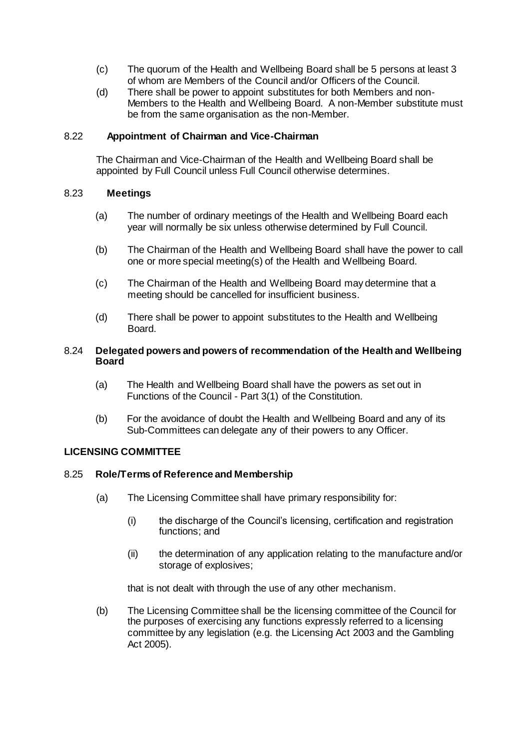- (c) The quorum of the Health and Wellbeing Board shall be 5 persons at least 3 of whom are Members of the Council and/or Officers of the Council.
- (d) There shall be power to appoint substitutes for both Members and non-Members to the Health and Wellbeing Board. A non-Member substitute must be from the same organisation as the non-Member.

## 8.22 **Appointment of Chairman and Vice-Chairman**

The Chairman and Vice-Chairman of the Health and Wellbeing Board shall be appointed by Full Council unless Full Council otherwise determines.

#### 8.23 **Meetings**

- (a) The number of ordinary meetings of the Health and Wellbeing Board each year will normally be six unless otherwise determined by Full Council.
- (b) The Chairman of the Health and Wellbeing Board shall have the power to call one or more special meeting(s) of the Health and Wellbeing Board.
- (c) The Chairman of the Health and Wellbeing Board may determine that a meeting should be cancelled for insufficient business.
- (d) There shall be power to appoint substitutes to the Health and Wellbeing Board.

#### 8.24 **Delegated powers and powers of recommendation of the Health and Wellbeing Board**

- (a) The Health and Wellbeing Board shall have the powers as set out in Functions of the Council - Part 3(1) of the Constitution.
- (b) For the avoidance of doubt the Health and Wellbeing Board and any of its Sub-Committees can delegate any of their powers to any Officer.

#### **LICENSING COMMITTEE**

#### 8.25 **Role/Terms of Reference and Membership**

- (a) The Licensing Committee shall have primary responsibility for:
	- (i) the discharge of the Council's licensing, certification and registration functions; and
	- (ii) the determination of any application relating to the manufacture and/or storage of explosives;

that is not dealt with through the use of any other mechanism.

(b) The Licensing Committee shall be the licensing committee of the Council for the purposes of exercising any functions expressly referred to a licensing committee by any legislation (e.g. the Licensing Act 2003 and the Gambling Act 2005).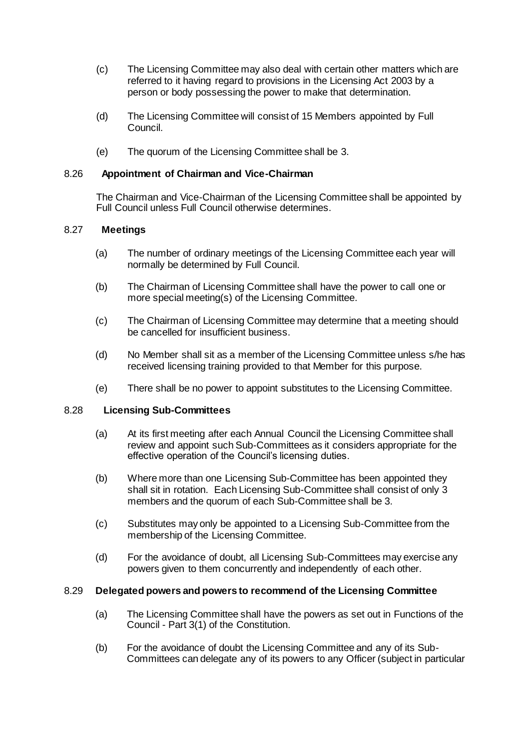- (c) The Licensing Committee may also deal with certain other matters which are referred to it having regard to provisions in the Licensing Act 2003 by a person or body possessing the power to make that determination.
- (d) The Licensing Committee will consist of 15 Members appointed by Full Council.
- (e) The quorum of the Licensing Committee shall be 3.

## 8.26 **Appointment of Chairman and Vice-Chairman**

The Chairman and Vice-Chairman of the Licensing Committee shall be appointed by Full Council unless Full Council otherwise determines.

## 8.27 **Meetings**

- (a) The number of ordinary meetings of the Licensing Committee each year will normally be determined by Full Council.
- (b) The Chairman of Licensing Committee shall have the power to call one or more special meeting(s) of the Licensing Committee.
- (c) The Chairman of Licensing Committee may determine that a meeting should be cancelled for insufficient business.
- (d) No Member shall sit as a member of the Licensing Committee unless s/he has received licensing training provided to that Member for this purpose.
- (e) There shall be no power to appoint substitutes to the Licensing Committee.

## 8.28 **Licensing Sub-Committees**

- (a) At its first meeting after each Annual Council the Licensing Committee shall review and appoint such Sub-Committees as it considers appropriate for the effective operation of the Council's licensing duties.
- (b) Where more than one Licensing Sub-Committee has been appointed they shall sit in rotation. Each Licensing Sub-Committee shall consist of only 3 members and the quorum of each Sub-Committee shall be 3.
- (c) Substitutes may only be appointed to a Licensing Sub-Committee from the membership of the Licensing Committee.
- (d) For the avoidance of doubt, all Licensing Sub-Committees may exercise any powers given to them concurrently and independently of each other.

### 8.29 **Delegated powers and powers to recommend of the Licensing Committee**

- (a) The Licensing Committee shall have the powers as set out in Functions of the Council - Part 3(1) of the Constitution.
- (b) For the avoidance of doubt the Licensing Committee and any of its Sub-Committees can delegate any of its powers to any Officer (subject in particular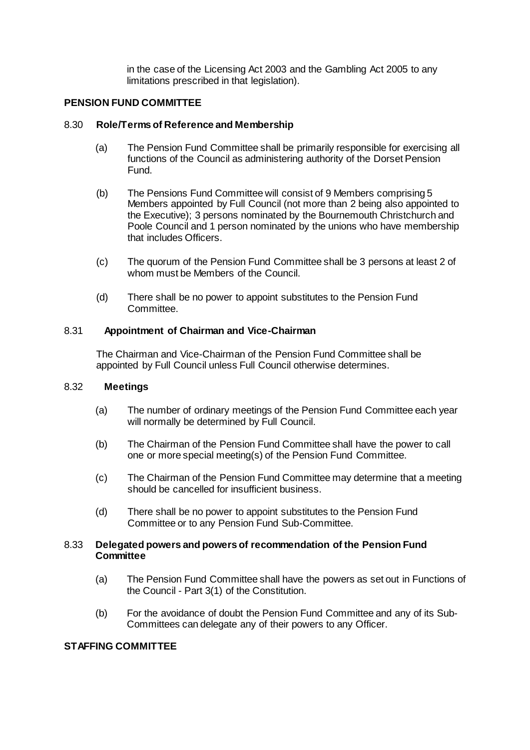in the case of the Licensing Act 2003 and the Gambling Act 2005 to any limitations prescribed in that legislation).

## **PENSION FUND COMMITTEE**

#### 8.30 **Role/Terms of Reference and Membership**

- (a) The Pension Fund Committee shall be primarily responsible for exercising all functions of the Council as administering authority of the Dorset Pension Fund.
- (b) The Pensions Fund Committee will consist of 9 Members comprising 5 Members appointed by Full Council (not more than 2 being also appointed to the Executive); 3 persons nominated by the Bournemouth Christchurch and Poole Council and 1 person nominated by the unions who have membership that includes Officers.
- (c) The quorum of the Pension Fund Committee shall be 3 persons at least 2 of whom must be Members of the Council.
- (d) There shall be no power to appoint substitutes to the Pension Fund Committee.

#### 8.31 **Appointment of Chairman and Vice-Chairman**

The Chairman and Vice-Chairman of the Pension Fund Committee shall be appointed by Full Council unless Full Council otherwise determines.

### 8.32 **Meetings**

- (a) The number of ordinary meetings of the Pension Fund Committee each year will normally be determined by Full Council.
- (b) The Chairman of the Pension Fund Committee shall have the power to call one or more special meeting(s) of the Pension Fund Committee.
- (c) The Chairman of the Pension Fund Committee may determine that a meeting should be cancelled for insufficient business.
- (d) There shall be no power to appoint substitutes to the Pension Fund Committee or to any Pension Fund Sub-Committee.

#### 8.33 **Delegated powers and powers of recommendation of the Pension Fund Committee**

- (a) The Pension Fund Committee shall have the powers as set out in Functions of the Council - Part 3(1) of the Constitution.
- (b) For the avoidance of doubt the Pension Fund Committee and any of its Sub-Committees can delegate any of their powers to any Officer.

## **STAFFING COMMITTEE**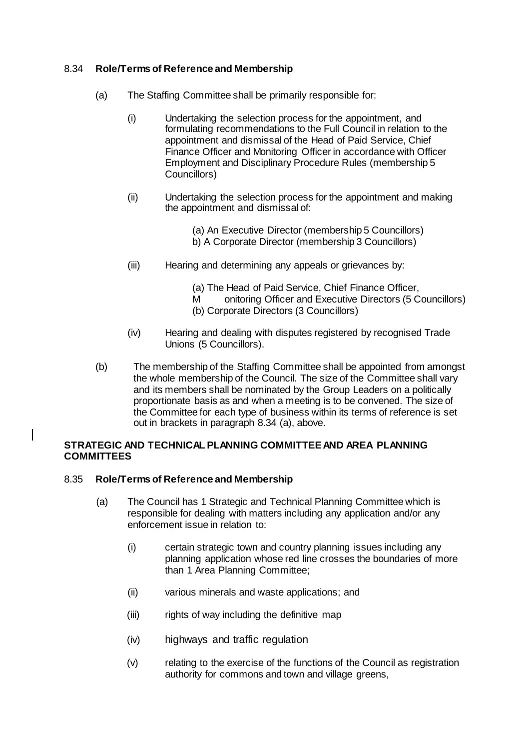## 8.34 **Role/Terms of Reference and Membership**

- (a) The Staffing Committee shall be primarily responsible for:
	- (i) Undertaking the selection process for the appointment, and formulating recommendations to the Full Council in relation to the appointment and dismissal of the Head of Paid Service, Chief Finance Officer and Monitoring Officer in accordance with Officer Employment and Disciplinary Procedure Rules (membership 5 Councillors)
	- (ii) Undertaking the selection process for the appointment and making the appointment and dismissal of:

(a) An Executive Director (membership 5 Councillors) b) A Corporate Director (membership 3 Councillors)

- (iii) Hearing and determining any appeals or grievances by:
	- (a) The Head of Paid Service, Chief Finance Officer,
	- M onitoring Officer and Executive Directors (5 Councillors)
	- (b) Corporate Directors (3 Councillors)
- (iv) Hearing and dealing with disputes registered by recognised Trade Unions (5 Councillors).
- (b) The membership of the Staffing Committee shall be appointed from amongst the whole membership of the Council. The size of the Committee shall vary and its members shall be nominated by the Group Leaders on a politically proportionate basis as and when a meeting is to be convened. The size of the Committee for each type of business within its terms of reference is set out in brackets in paragraph 8.34 (a), above.

## **STRATEGIC AND TECHNICAL PLANNING COMMITTEE AND AREA PLANNING COMMITTEES**

## 8.35 **Role/Terms of Reference and Membership**

- (a) The Council has 1 Strategic and Technical Planning Committee which is responsible for dealing with matters including any application and/or any enforcement issue in relation to:
	- (i) certain strategic town and country planning issues including any planning application whose red line crosses the boundaries of more than 1 Area Planning Committee;
	- (ii) various minerals and waste applications; and
	- (iii) rights of way including the definitive map
	- (iv) highways and traffic regulation
	- (v) relating to the exercise of the functions of the Council as registration authority for commons and town and village greens,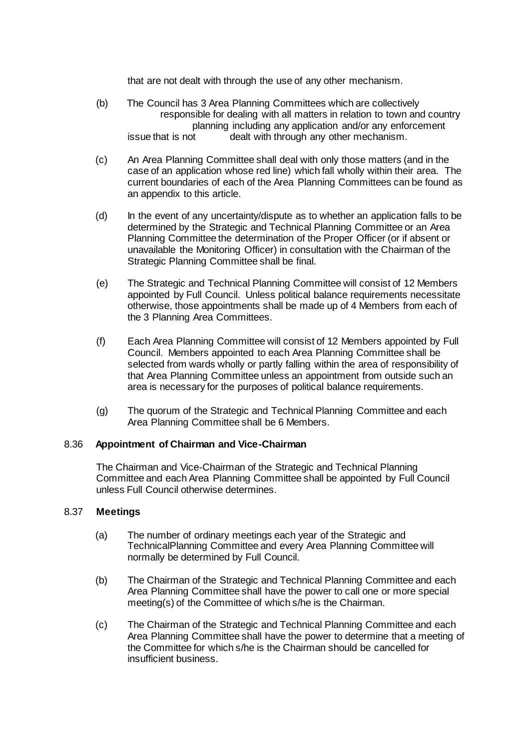that are not dealt with through the use of any other mechanism.

- (b) The Council has 3 Area Planning Committees which are collectively responsible for dealing with all matters in relation to town and country planning including any application and/or any enforcement issue that is not dealt with through any other mechanism.
- (c) An Area Planning Committee shall deal with only those matters (and in the case of an application whose red line) which fall wholly within their area. The current boundaries of each of the Area Planning Committees can be found as an appendix to this article.
- (d) In the event of any uncertainty/dispute as to whether an application falls to be determined by the Strategic and Technical Planning Committee or an Area Planning Committee the determination of the Proper Officer (or if absent or unavailable the Monitoring Officer) in consultation with the Chairman of the Strategic Planning Committee shall be final.
- (e) The Strategic and Technical Planning Committee will consist of 12 Members appointed by Full Council. Unless political balance requirements necessitate otherwise, those appointments shall be made up of 4 Members from each of the 3 Planning Area Committees.
- (f) Each Area Planning Committee will consist of 12 Members appointed by Full Council. Members appointed to each Area Planning Committee shall be selected from wards wholly or partly falling within the area of responsibility of that Area Planning Committee unless an appointment from outside such an area is necessary for the purposes of political balance requirements.
- (g) The quorum of the Strategic and Technical Planning Committee and each Area Planning Committee shall be 6 Members.

## 8.36 **Appointment of Chairman and Vice-Chairman**

The Chairman and Vice-Chairman of the Strategic and Technical Planning Committee and each Area Planning Committee shall be appointed by Full Council unless Full Council otherwise determines.

## 8.37 **Meetings**

- (a) The number of ordinary meetings each year of the Strategic and TechnicalPlanning Committee and every Area Planning Committee will normally be determined by Full Council.
- (b) The Chairman of the Strategic and Technical Planning Committee and each Area Planning Committee shall have the power to call one or more special meeting(s) of the Committee of which s/he is the Chairman.
- (c) The Chairman of the Strategic and Technical Planning Committee and each Area Planning Committee shall have the power to determine that a meeting of the Committee for which s/he is the Chairman should be cancelled for insufficient business.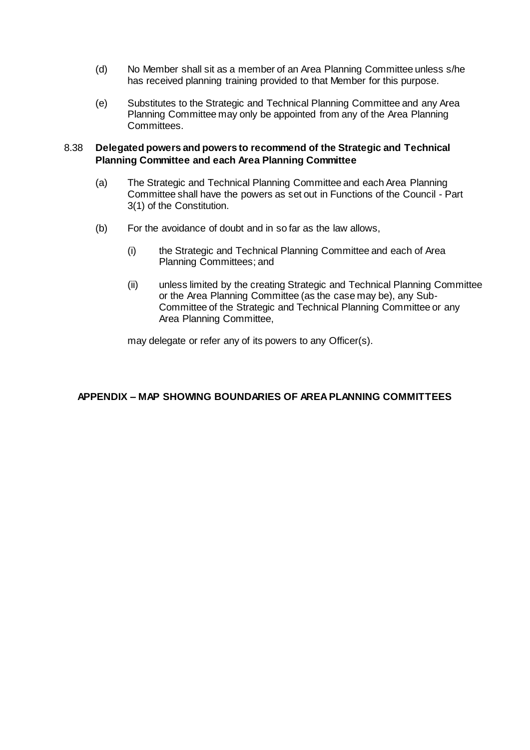- (d) No Member shall sit as a member of an Area Planning Committee unless s/he has received planning training provided to that Member for this purpose.
- (e) Substitutes to the Strategic and Technical Planning Committee and any Area Planning Committee may only be appointed from any of the Area Planning Committees.

## 8.38 **Delegated powers and powers to recommend of the Strategic and Technical Planning Committee and each Area Planning Committee**

- (a) The Strategic and Technical Planning Committee and each Area Planning Committee shall have the powers as set out in Functions of the Council - Part 3(1) of the Constitution.
- (b) For the avoidance of doubt and in so far as the law allows,
	- (i) the Strategic and Technical Planning Committee and each of Area Planning Committees; and
	- (ii) unless limited by the creating Strategic and Technical Planning Committee or the Area Planning Committee (as the case may be), any Sub-Committee of the Strategic and Technical Planning Committee or any Area Planning Committee,

may delegate or refer any of its powers to any Officer(s).

## **APPENDIX – MAP SHOWING BOUNDARIES OF AREA PLANNING COMMITTEES**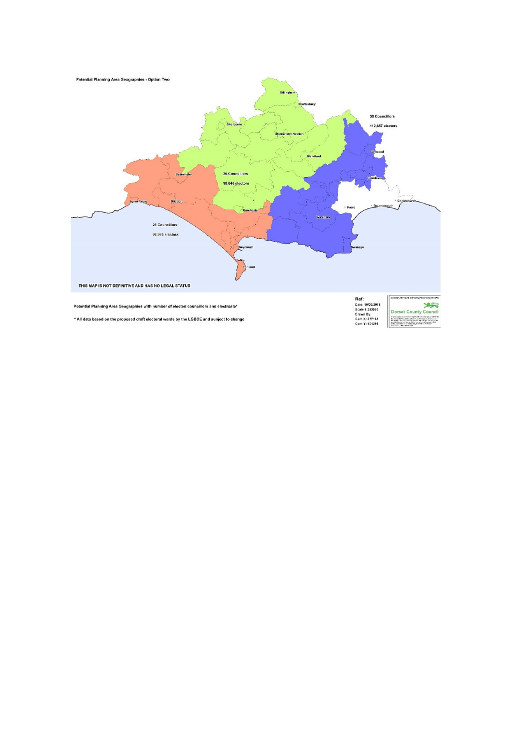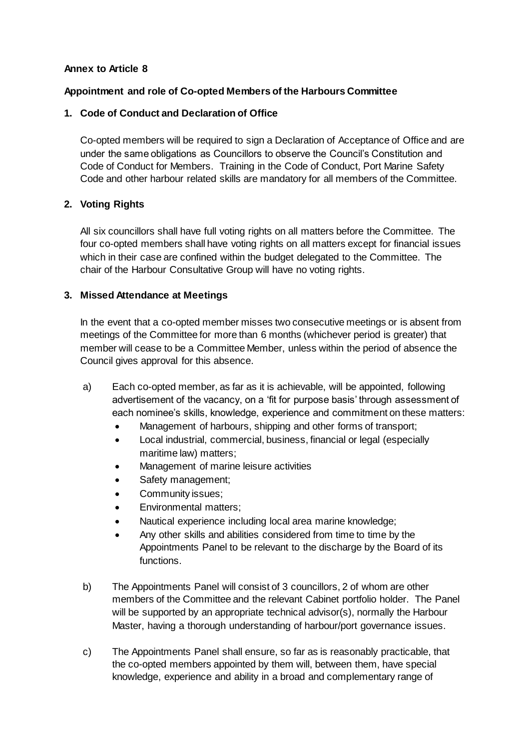## **Annex to Article 8**

## **Appointment and role of Co-opted Members of the Harbours Committee**

## **1. Code of Conduct and Declaration of Office**

Co-opted members will be required to sign a Declaration of Acceptance of Office and are under the same obligations as Councillors to observe the Council's Constitution and Code of Conduct for Members. Training in the Code of Conduct, Port Marine Safety Code and other harbour related skills are mandatory for all members of the Committee.

## **2. Voting Rights**

All six councillors shall have full voting rights on all matters before the Committee. The four co-opted members shall have voting rights on all matters except for financial issues which in their case are confined within the budget delegated to the Committee. The chair of the Harbour Consultative Group will have no voting rights.

## **3. Missed Attendance at Meetings**

In the event that a co-opted member misses two consecutive meetings or is absent from meetings of the Committee for more than 6 months (whichever period is greater) that member will cease to be a Committee Member, unless within the period of absence the Council gives approval for this absence.

- a) Each co-opted member, as far as it is achievable, will be appointed, following advertisement of the vacancy, on a 'fit for purpose basis' through assessment of each nominee's skills, knowledge, experience and commitment on these matters:
	- Management of harbours, shipping and other forms of transport;
	- Local industrial, commercial, business, financial or legal (especially maritime law) matters;
	- Management of marine leisure activities
	- Safety management;
	- Community issues;
	- Environmental matters;
	- Nautical experience including local area marine knowledge;
	- Any other skills and abilities considered from time to time by the Appointments Panel to be relevant to the discharge by the Board of its functions.
- b) The Appointments Panel will consist of 3 councillors, 2 of whom are other members of the Committee and the relevant Cabinet portfolio holder. The Panel will be supported by an appropriate technical advisor(s), normally the Harbour Master, having a thorough understanding of harbour/port governance issues.
- c) The Appointments Panel shall ensure, so far as is reasonably practicable, that the co-opted members appointed by them will, between them, have special knowledge, experience and ability in a broad and complementary range of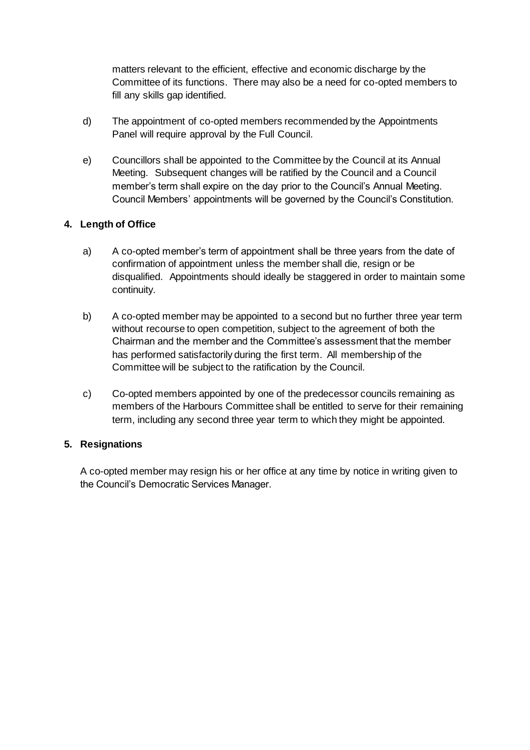matters relevant to the efficient, effective and economic discharge by the Committee of its functions. There may also be a need for co-opted members to fill any skills gap identified.

- d) The appointment of co-opted members recommended by the Appointments Panel will require approval by the Full Council.
- e) Councillors shall be appointed to the Committee by the Council at its Annual Meeting. Subsequent changes will be ratified by the Council and a Council member's term shall expire on the day prior to the Council's Annual Meeting. Council Members' appointments will be governed by the Council's Constitution.

## **4. Length of Office**

- a) A co-opted member's term of appointment shall be three years from the date of confirmation of appointment unless the member shall die, resign or be disqualified. Appointments should ideally be staggered in order to maintain some continuity.
- b) A co-opted member may be appointed to a second but no further three year term without recourse to open competition, subject to the agreement of both the Chairman and the member and the Committee's assessment that the member has performed satisfactorily during the first term. All membership of the Committee will be subject to the ratification by the Council.
- c) Co-opted members appointed by one of the predecessor councils remaining as members of the Harbours Committee shall be entitled to serve for their remaining term, including any second three year term to which they might be appointed.

## **5. Resignations**

A co-opted member may resign his or her office at any time by notice in writing given to the Council's Democratic Services Manager.